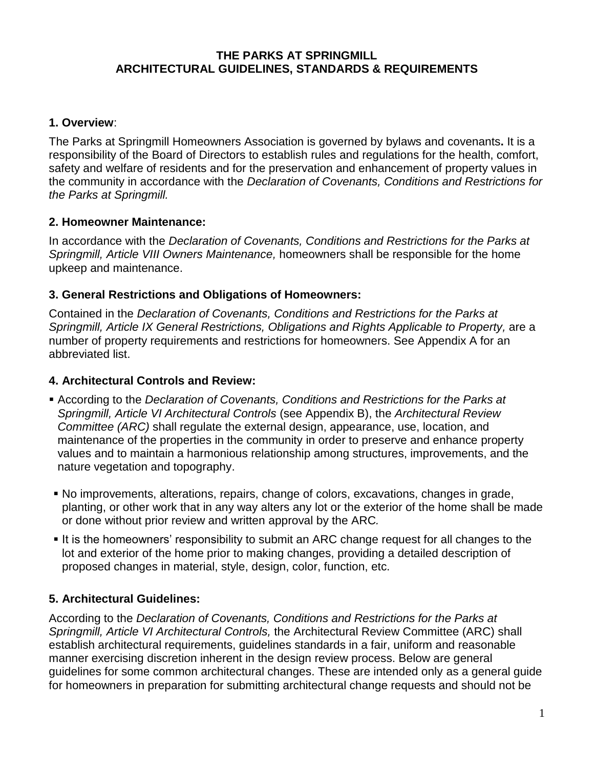#### **THE PARKS AT SPRINGMILL ARCHITECTURAL GUIDELINES, STANDARDS & REQUIREMENTS**

#### **1. Overview**:

The Parks at Springmill Homeowners Association is governed by bylaws and covenants**.** It is a responsibility of the Board of Directors to establish rules and regulations for the health, comfort, safety and welfare of residents and for the preservation and enhancement of property values in the community in accordance with the *Declaration of Covenants, Conditions and Restrictions for the Parks at Springmill.*

### **2. Homeowner Maintenance:**

In accordance with the *Declaration of Covenants, Conditions and Restrictions for the Parks at Springmill, Article VIII Owners Maintenance,* homeowners shall be responsible for the home upkeep and maintenance.

### **3. General Restrictions and Obligations of Homeowners:**

Contained in the *Declaration of Covenants, Conditions and Restrictions for the Parks at Springmill, Article IX General Restrictions, Obligations and Rights Applicable to Property,* are a number of property requirements and restrictions for homeowners. See Appendix A for an abbreviated list.

#### **4. Architectural Controls and Review:**

- According to the *Declaration of Covenants, Conditions and Restrictions for the Parks at Springmill, Article VI Architectural Controls* (see Appendix B), the *Architectural Review Committee (ARC)* shall regulate the external design, appearance, use, location, and maintenance of the properties in the community in order to preserve and enhance property values and to maintain a harmonious relationship among structures, improvements, and the nature vegetation and topography.
- No improvements, alterations, repairs, change of colors, excavations, changes in grade, planting, or other work that in any way alters any lot or the exterior of the home shall be made or done without prior review and written approval by the ARC*.*
- It is the homeowners' responsibility to submit an ARC change request for all changes to the lot and exterior of the home prior to making changes, providing a detailed description of proposed changes in material, style, design, color, function, etc.

### **5. Architectural Guidelines:**

According to the *Declaration of Covenants, Conditions and Restrictions for the Parks at Springmill, Article VI Architectural Controls,* the Architectural Review Committee (ARC) shall establish architectural requirements, guidelines standards in a fair, uniform and reasonable manner exercising discretion inherent in the design review process. Below are general guidelines for some common architectural changes. These are intended only as a general guide for homeowners in preparation for submitting architectural change requests and should not be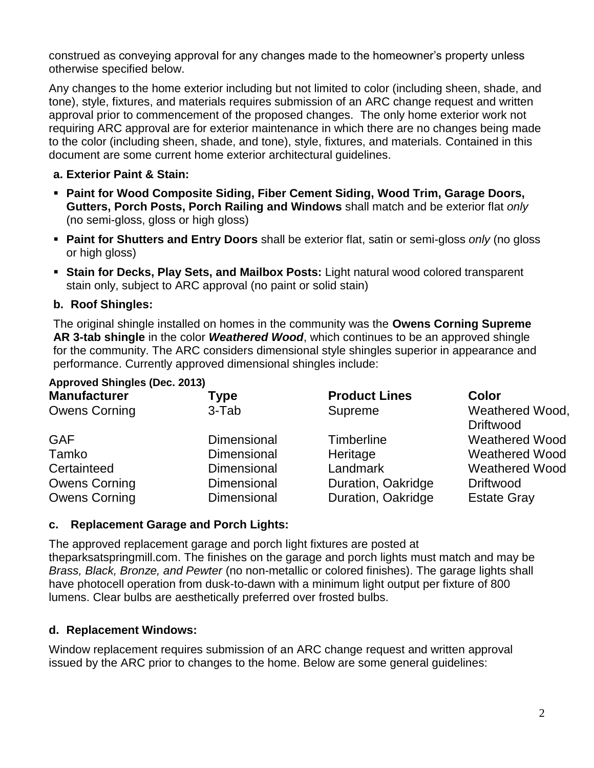construed as conveying approval for any changes made to the homeowner's property unless otherwise specified below.

Any changes to the home exterior including but not limited to color (including sheen, shade, and tone), style, fixtures, and materials requires submission of an ARC change request and written approval prior to commencement of the proposed changes. The only home exterior work not requiring ARC approval are for exterior maintenance in which there are no changes being made to the color (including sheen, shade, and tone), style, fixtures, and materials. Contained in this document are some current home exterior architectural guidelines.

### **a. Exterior Paint & Stain:**

- **Paint for Wood Composite Siding, Fiber Cement Siding, Wood Trim, Garage Doors, Gutters, Porch Posts, Porch Railing and Windows** shall match and be exterior flat *only* (no semi-gloss, gloss or high gloss)
- **Paint for Shutters and Entry Doors** shall be exterior flat, satin or semi-gloss *only* (no gloss or high gloss)
- **Stain for Decks, Play Sets, and Mailbox Posts:** Light natural wood colored transparent stain only, subject to ARC approval (no paint or solid stain)

### **b. Roof Shingles:**

**Approved Shingles (Dec. 2013)**

The original shingle installed on homes in the community was the **Owens Corning Supreme AR 3-tab shingle** in the color *Weathered Wood*, which continues to be an approved shingle for the community. The ARC considers dimensional style shingles superior in appearance and performance. Currently approved dimensional shingles include:

| 1.481313131111913012012012013<br><b>Manufacturer</b> | Type               | <b>Product Lines</b> | Color                               |
|------------------------------------------------------|--------------------|----------------------|-------------------------------------|
| <b>Owens Corning</b>                                 | 3-Tab              | Supreme              | Weathered Wood,<br><b>Driftwood</b> |
| <b>GAF</b>                                           | <b>Dimensional</b> | Timberline           | <b>Weathered Wood</b>               |
| Tamko                                                | Dimensional        | Heritage             | <b>Weathered Wood</b>               |
| Certainteed                                          | Dimensional        | Landmark             | <b>Weathered Wood</b>               |
| <b>Owens Corning</b>                                 | Dimensional        | Duration, Oakridge   | <b>Driftwood</b>                    |
| <b>Owens Corning</b>                                 | Dimensional        | Duration, Oakridge   | <b>Estate Gray</b>                  |

### **c. Replacement Garage and Porch Lights:**

The approved replacement garage and porch light fixtures are posted at theparksatspringmill.com. The finishes on the garage and porch lights must match and may be *Brass, Black, Bronze, and Pewter* (no non-metallic or colored finishes). The garage lights shall have photocell operation from dusk-to-dawn with a minimum light output per fixture of 800 lumens. Clear bulbs are aesthetically preferred over frosted bulbs.

### **d. Replacement Windows:**

Window replacement requires submission of an ARC change request and written approval issued by the ARC prior to changes to the home. Below are some general guidelines: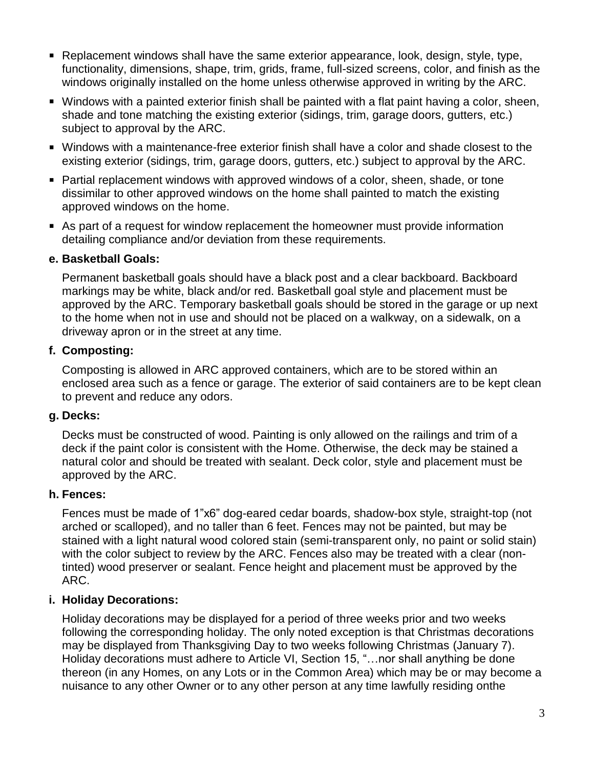- **Replacement windows shall have the same exterior appearance, look, design, style, type,** functionality, dimensions, shape, trim, grids, frame, full-sized screens, color, and finish as the windows originally installed on the home unless otherwise approved in writing by the ARC.
- Windows with a painted exterior finish shall be painted with a flat paint having a color, sheen, shade and tone matching the existing exterior (sidings, trim, garage doors, gutters, etc.) subject to approval by the ARC.
- Windows with a maintenance-free exterior finish shall have a color and shade closest to the existing exterior (sidings, trim, garage doors, gutters, etc.) subject to approval by the ARC.
- Partial replacement windows with approved windows of a color, sheen, shade, or tone dissimilar to other approved windows on the home shall painted to match the existing approved windows on the home.
- As part of a request for window replacement the homeowner must provide information detailing compliance and/or deviation from these requirements.

### **e. Basketball Goals:**

Permanent basketball goals should have a black post and a clear backboard. Backboard markings may be white, black and/or red. Basketball goal style and placement must be approved by the ARC. Temporary basketball goals should be stored in the garage or up next to the home when not in use and should not be placed on a walkway, on a sidewalk, on a driveway apron or in the street at any time.

### **f. Composting:**

Composting is allowed in ARC approved containers, which are to be stored within an enclosed area such as a fence or garage. The exterior of said containers are to be kept clean to prevent and reduce any odors.

### **g. Decks:**

Decks must be constructed of wood. Painting is only allowed on the railings and trim of a deck if the paint color is consistent with the Home. Otherwise, the deck may be stained a natural color and should be treated with sealant. Deck color, style and placement must be approved by the ARC.

### **h. Fences:**

Fences must be made of 1"x6" dog-eared cedar boards, shadow-box style, straight-top (not arched or scalloped), and no taller than 6 feet. Fences may not be painted, but may be stained with a light natural wood colored stain (semi-transparent only, no paint or solid stain) with the color subject to review by the ARC. Fences also may be treated with a clear (nontinted) wood preserver or sealant. Fence height and placement must be approved by the ARC.

# **i. Holiday Decorations:**

Holiday decorations may be displayed for a period of three weeks prior and two weeks following the corresponding holiday. The only noted exception is that Christmas decorations may be displayed from Thanksgiving Day to two weeks following Christmas (January 7). Holiday decorations must adhere to Article VI, Section 15, "…nor shall anything be done thereon (in any Homes, on any Lots or in the Common Area) which may be or may become a nuisance to any other Owner or to any other person at any time lawfully residing onthe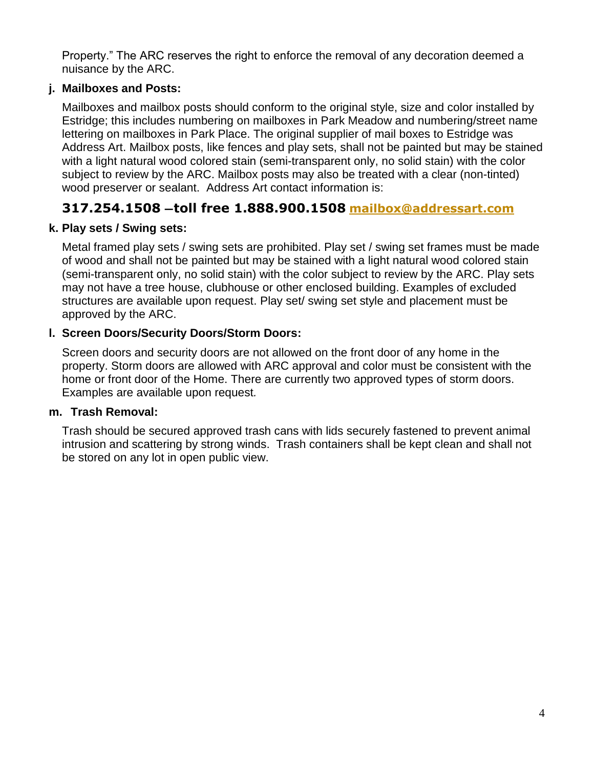Property." The ARC reserves the right to enforce the removal of any decoration deemed a nuisance by the ARC.

### **j. Mailboxes and Posts:**

Mailboxes and mailbox posts should conform to the original style, size and color installed by Estridge; this includes numbering on mailboxes in Park Meadow and numbering/street name lettering on mailboxes in Park Place. The original supplier of mail boxes to Estridge was Address Art. Mailbox posts, like fences and play sets, shall not be painted but may be stained with a light natural wood colored stain (semi-transparent only, no solid stain) with the color subject to review by the ARC. Mailbox posts may also be treated with a clear (non-tinted) wood preserver or sealant. Address Art contact information is:

# **317.254.1508 —toll free 1.888.900.1508 [mailbox@addressart.com](mailto:mailbox@addressart.com)**

### **k. Play sets / Swing sets:**

Metal framed play sets / swing sets are prohibited. Play set / swing set frames must be made of wood and shall not be painted but may be stained with a light natural wood colored stain (semi-transparent only, no solid stain) with the color subject to review by the ARC. Play sets may not have a tree house, clubhouse or other enclosed building. Examples of excluded structures are available upon request. Play set/ swing set style and placement must be approved by the ARC.

### **l. Screen Doors/Security Doors/Storm Doors:**

Screen doors and security doors are not allowed on the front door of any home in the property. Storm doors are allowed with ARC approval and color must be consistent with the home or front door of the Home. There are currently two approved types of storm doors. Examples are available upon request*.*

### **m. Trash Removal:**

Trash should be secured approved trash cans with lids securely fastened to prevent animal intrusion and scattering by strong winds. Trash containers shall be kept clean and shall not be stored on any lot in open public view.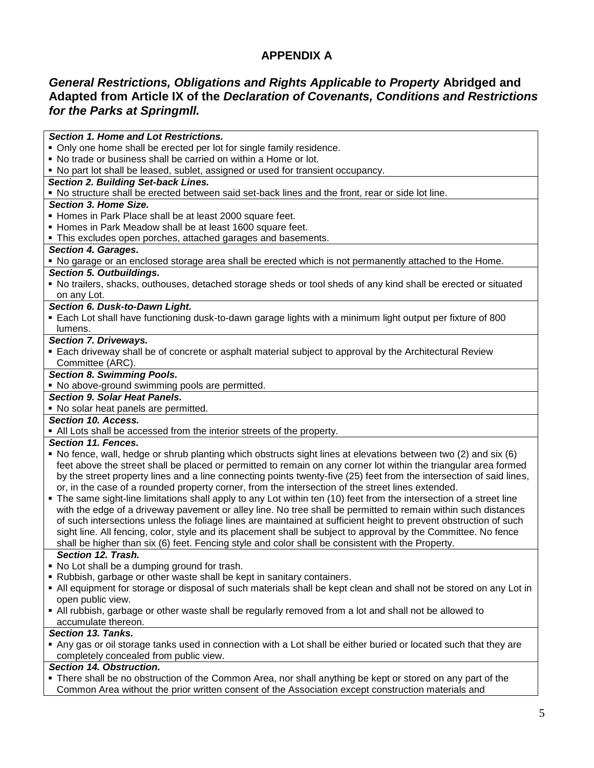# **APPENDIX A**

### *General Restrictions, Obligations and Rights Applicable to Property* **Abridged and Adapted from Article IX of the** *Declaration of Covenants, Conditions and Restrictions for the Parks at Springmll.*

*Section 1. Home and Lot Restrictions.* Only one home shall be erected per lot for single family residence. No trade or business shall be carried on within a Home or lot. No part lot shall be leased, sublet, assigned or used for transient occupancy. *Section 2. Building Set-back Lines.* No structure shall be erected between said set-back lines and the front, rear or side lot line. *Section 3. Home Size.* Homes in Park Place shall be at least 2000 square feet. Homes in Park Meadow shall be at least 1600 square feet. This excludes open porches, attached garages and basements. *Section 4. Garages.* No garage or an enclosed storage area shall be erected which is not permanently attached to the Home. *Section 5. Outbuildings.* No trailers, shacks, outhouses, detached storage sheds or tool sheds of any kind shall be erected or situated on any Lot. *Section 6. Dusk-to-Dawn Light.*  Each Lot shall have functioning dusk-to-dawn garage lights with a minimum light output per fixture of 800 lumens. *Section 7. Driveways.*  Each driveway shall be of concrete or asphalt material subject to approval by the Architectural Review Committee (ARC). *Section 8. Swimming Pools.* • No above-ground swimming pools are permitted. *Section 9. Solar Heat Panels.* • No solar heat panels are permitted. *Section 10. Access.* All Lots shall be accessed from the interior streets of the property. *Section 11. Fences.* No fence, wall, hedge or shrub planting which obstructs sight lines at elevations between two (2) and six (6) feet above the street shall be placed or permitted to remain on any corner lot within the triangular area formed by the street property lines and a line connecting points twenty-five (25) feet from the intersection of said lines, or, in the case of a rounded property corner, from the intersection of the street lines extended. The same sight-line limitations shall apply to any Lot within ten (10) feet from the intersection of a street line with the edge of a driveway pavement or alley line. No tree shall be permitted to remain within such distances of such intersections unless the foliage lines are maintained at sufficient height to prevent obstruction of such sight line. All fencing, color, style and its placement shall be subject to approval by the Committee. No fence shall be higher than six (6) feet. Fencing style and color shall be consistent with the Property. *Section 12. Trash.* • No Lot shall be a dumping ground for trash. Rubbish, garbage or other waste shall be kept in sanitary containers. All equipment for storage or disposal of such materials shall be kept clean and shall not be stored on any Lot in open public view. All rubbish, garbage or other waste shall be regularly removed from a lot and shall not be allowed to accumulate thereon. *Section 13. Tanks.* Any gas or oil storage tanks used in connection with a Lot shall be either buried or located such that they are completely concealed from public view. *Section 14. Obstruction.*

 There shall be no obstruction of the Common Area, nor shall anything be kept or stored on any part of the Common Area without the prior written consent of the Association except construction materials and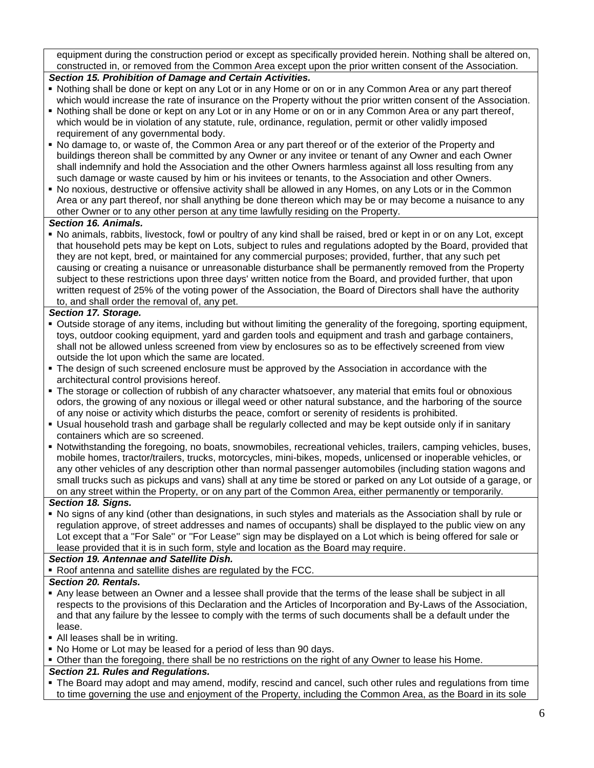equipment during the construction period or except as specifically provided herein. Nothing shall be altered on, constructed in, or removed from the Common Area except upon the prior written consent of the Association.

#### *Section 15. Prohibition of Damage and Certain Activities.*

- Nothing shall be done or kept on any Lot or in any Home or on or in any Common Area or any part thereof which would increase the rate of insurance on the Property without the prior written consent of the Association.
- Nothing shall be done or kept on any Lot or in any Home or on or in any Common Area or any part thereof, which would be in violation of any statute, rule, ordinance, regulation, permit or other validly imposed requirement of any governmental body.
- No damage to, or waste of, the Common Area or any part thereof or of the exterior of the Property and buildings thereon shall be committed by any Owner or any invitee or tenant of any Owner and each Owner shall indemnify and hold the Association and the other Owners harmless against all loss resulting from any such damage or waste caused by him or his invitees or tenants, to the Association and other Owners.
- No noxious, destructive or offensive activity shall be allowed in any Homes, on any Lots or in the Common Area or any part thereof, nor shall anything be done thereon which may be or may become a nuisance to any other Owner or to any other person at any time lawfully residing on the Property.

#### *Section 16. Animals.*

 No animals, rabbits, livestock, fowl or poultry of any kind shall be raised, bred or kept in or on any Lot, except that household pets may be kept on Lots, subject to rules and regulations adopted by the Board, provided that they are not kept, bred, or maintained for any commercial purposes; provided, further, that any such pet causing or creating a nuisance or unreasonable disturbance shall be permanently removed from the Property subject to these restrictions upon three days' written notice from the Board, and provided further, that upon written request of 25% of the voting power of the Association, the Board of Directors shall have the authority to, and shall order the removal of, any pet.

#### *Section 17. Storage.*

- Outside storage of any items, including but without limiting the generality of the foregoing, sporting equipment, toys, outdoor cooking equipment, yard and garden tools and equipment and trash and garbage containers, shall not be allowed unless screened from view by enclosures so as to be effectively screened from view outside the lot upon which the same are located.
- The design of such screened enclosure must be approved by the Association in accordance with the architectural control provisions hereof.
- The storage or collection of rubbish of any character whatsoever, any material that emits foul or obnoxious odors, the growing of any noxious or illegal weed or other natural substance, and the harboring of the source of any noise or activity which disturbs the peace, comfort or serenity of residents is prohibited.
- Usual household trash and garbage shall be regularly collected and may be kept outside only if in sanitary containers which are so screened.
- Notwithstanding the foregoing, no boats, snowmobiles, recreational vehicles, trailers, camping vehicles, buses, mobile homes, tractor/trailers, trucks, motorcycles, mini-bikes, mopeds, unlicensed or inoperable vehicles, or any other vehicles of any description other than normal passenger automobiles (including station wagons and small trucks such as pickups and vans) shall at any time be stored or parked on any Lot outside of a garage, or on any street within the Property, or on any part of the Common Area, either permanently or temporarily.

#### *Section 18. Signs.*

 No signs of any kind (other than designations, in such styles and materials as the Association shall by rule or regulation approve, of street addresses and names of occupants) shall be displayed to the public view on any Lot except that a "For Sale" or "For Lease" sign may be displayed on a Lot which is being offered for sale or lease provided that it is in such form, style and location as the Board may require.

#### *Section 19. Antennae and Satellite Dish.*

Roof antenna and satellite dishes are regulated by the FCC.

#### *Section 20. Rentals.*

- Any lease between an Owner and a lessee shall provide that the terms of the lease shall be subject in all respects to the provisions of this Declaration and the Articles of Incorporation and By-Laws of the Association, and that any failure by the lessee to comply with the terms of such documents shall be a default under the lease.
- All leases shall be in writing.
- No Home or Lot may be leased for a period of less than 90 days.
- Other than the foregoing, there shall be no restrictions on the right of any Owner to lease his Home.

#### *Section 21. Rules and Regulations.*

 The Board may adopt and may amend, modify, rescind and cancel, such other rules and regulations from time to time governing the use and enjoyment of the Property, including the Common Area, as the Board in its sole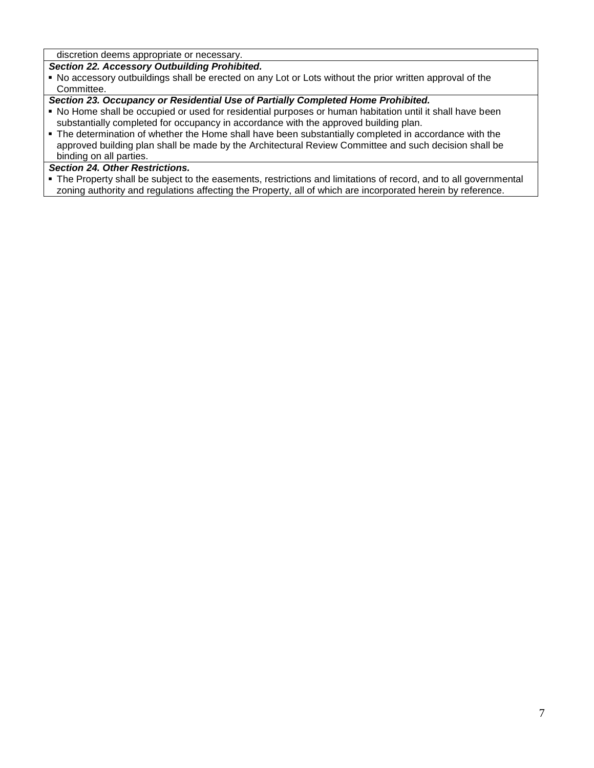discretion deems appropriate or necessary.

#### *Section 22. Accessory Outbuilding Prohibited.*

 No accessory outbuildings shall be erected on any Lot or Lots without the prior written approval of the Committee.

#### *Section 23. Occupancy or Residential Use of Partially Completed Home Prohibited.*

- No Home shall be occupied or used for residential purposes or human habitation until it shall have been substantially completed for occupancy in accordance with the approved building plan.
- The determination of whether the Home shall have been substantially completed in accordance with the approved building plan shall be made by the Architectural Review Committee and such decision shall be binding on all parties.

#### *Section 24. Other Restrictions.*

 The Property shall be subject to the easements, restrictions and limitations of record, and to all governmental zoning authority and regulations affecting the Property, all of which are incorporated herein by reference.